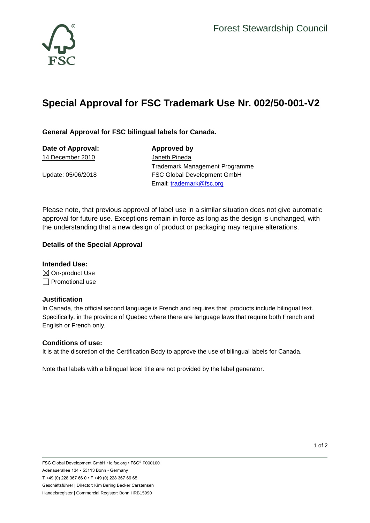



# **Special Approval for FSC Trademark Use Nr. 002/50-001-V2**

## **General Approval for FSC bilingual labels for Canada.**

| Approved by                           |
|---------------------------------------|
| Janeth Pineda                         |
| <b>Trademark Management Programme</b> |
| <b>FSC Global Development GmbH</b>    |
| Email: trademark@fsc.org              |
|                                       |

Please note, that previous approval of label use in a similar situation does not give automatic approval for future use. Exceptions remain in force as long as the design is unchanged, with the understanding that a new design of product or packaging may require alterations.

### **Details of the Special Approval**

**Intended Use:**  $\boxtimes$  On-product Use  $\Box$  Promotional use

#### **Justification**

In Canada, the official second language is French and requires that products include bilingual text. Specifically, in the province of Quebec where there are language laws that require both French and English or French only.

#### **Conditions of use:**

It is at the discretion of the Certification Body to approve the use of bilingual labels for Canada.

Note that labels with a bilingual label title are not provided by the label generator.